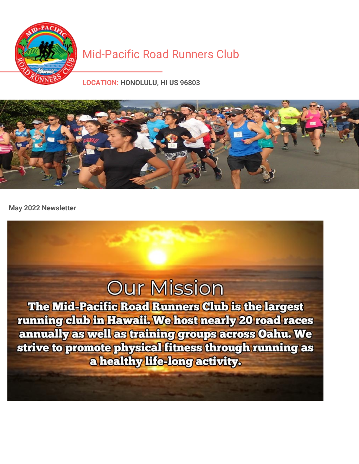

### [Mid-Pacific](https://runsignup.com/Club/HI/Honolulu/MidPacificRoadRunnersClub) Road Runners Club

**LOCATION: HONOLULU, HI US 96803**



**May 2022 Newsletter**

## **Our Mission**

The Mid-Pacific Road Runners Club is the largest running club in Hawaii. We host nearly 20 road races annually as well as training groups across Oahu. We strive to promote physical fitness through running as a healthy life-long activity.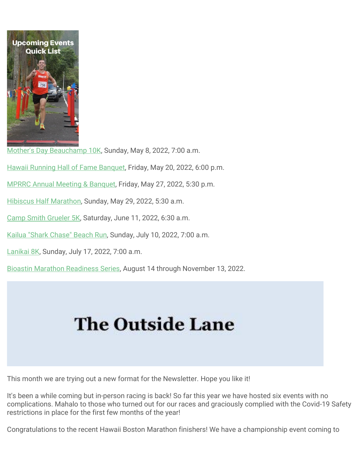

[Mother's Day Beauchamp 10K,](https://runsignup.com/Race/HI/Aiea/MothersDayBeauchamp10K) Sunday, May 8, 2022, 7:00 a.m.

[Hawaii Running Hall of Fame Banquet,](https://hirunning.org/) Friday, May 20, 2022, 6:00 p.m.

[MPRRC Annual Meeting & Banquet,](https://runsignup.com/Race/HI/Honolulu/MPRRCAnnualBanquet) Friday, May 27, 2022, 5:30 p.m.

[Hibiscus Half Marathon,](http://tropicaltriplecrown.com/hibiscus-half-marathon) Sunday, May 29, 2022, 5:30 a.m.

[Camp Smith Grueler 5K,](https://www.eventbrite.com/e/2022-camp-smith-grueler-5k-tickets-308418807957) Saturday, June 11, 2022, 6:30 a.m.

[Kailua "Shark Chase" Beach Run,](https://runsignup.com/Race/HI/Kailua/KailuaBeach44MileRun) Sunday, July 10, 2022, 7:00 a.m.

[Lanikai 8K,](https://runsignup.com/Race/HI/Kailua/Lanikai8KRun) Sunday, July 17, 2022, 7:00 a.m.

[Bioastin Marathon Readiness Series,](https://runsignup.com/Race/HI/Honolulu/BioastinMarathonReadinessSeries) August 14 through November 13, 2022.

# **The Outside Lane**

This month we are trying out a new format for the Newsletter. Hope you like it!

It's been a while coming but in-person racing is back! So far this year we have hosted six events with no complications. Mahalo to those who turned out for our races and graciously complied with the Covid-19 Safety restrictions in place for the first few months of the year!

Congratulations to the recent Hawaii Boston Marathon finishers! We have a championship event coming to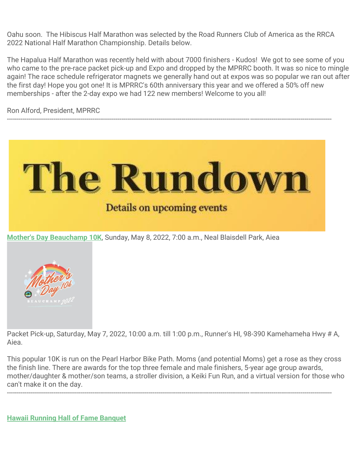Oahu soon. The Hibiscus Half Marathon was selected by the Road Runners Club of America as the RRCA 2022 National Half Marathon Championship. Details below.

The Hapalua Half Marathon was recently held with about 7000 finishers - Kudos! We got to see some of you who came to the pre-race packet pick-up and Expo and dropped by the MPRRC booth. It was so nice to mingle again! The race schedule refrigerator magnets we generally hand out at expos was so popular we ran out after the first day! Hope you got one! It is MPRRC's 60th anniversary this year and we offered a 50% off new memberships - after the 2-day expo we had 122 new members! Welcome to you all!

Ron Alford, President, MPRRC



-----------------------------------------------------------------------------------------------------------------------------------------------------------------------



Packet Pick-up, Saturday, May 7, 2022, 10:00 a.m. till 1:00 p.m., Runner's HI, 98-390 Kamehameha Hwy # A, Aiea.

This popular 10K is run on the Pearl Harbor Bike Path. Moms (and potential Moms) get a rose as they cross the finish line. There are awards for the top three female and male finishers, 5-year age group awards, mother/daughter & mother/son teams, a stroller division, a Keiki Fun Run, and a virtual version for those who can't make it on the day.

-----------------------------------------------------------------------------------------------------------------------------------------------------------------------

**[Hawaii Running Hall of Fame Banquet](https://hirunning.org/)**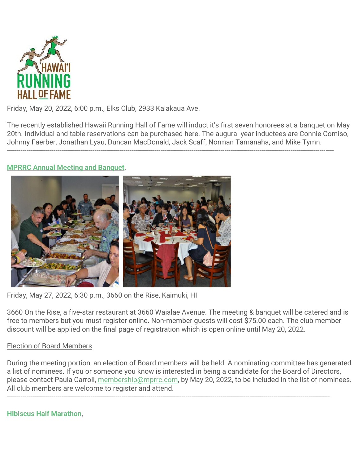

Friday, May 20, 2022, 6:00 p.m., Elks Club, 2933 Kalakaua Ave.

The recently established Hawaii Running Hall of Fame will induct it's first seven honorees at a banquet on May 20th. Individual and table reservations can be purchased here. The augural year inductees are Connie Comiso, Johnny Faerber, Jonathan Lyau, Duncan MacDonald, Jack Scaff, Norman Tamanaha, and Mike Tymn.

------------------------------------------------------------------------------------------------------------------------------------------------------------------------

#### **[MPRRC Annual Meeting and Banquet](https://runsignup.com/Race/HI/Honolulu/MPRRCAnnualBanquet)**,



Friday, May 27, 2022, 6:30 p.m., 3660 on the Rise, Kaimuki, HI

3660 On the Rise, a five-star restaurant at 3660 Waialae Avenue. The meeting & banquet will be catered and is free to members but you must register online. Non-member guests will cost \$75.00 each. The club member discount will be applied on the final page of registration which is open online until May 20, 2022.

#### Election of Board Members

During the meeting portion, an election of Board members will be held. A nominating committee has generated a list of nominees. If you or someone you know is interested in being a candidate for the Board of Directors, please contact Paula Carroll, [membership@mprrc.com,](https://runsignup.com/membership@mprrc.com) by May 20, 2022, to be included in the list of nominees. All club members are welcome to register and attend.

----------------------------------------------------------------------------------------------------------------------------------------------------------------------

**[Hibiscus Half Marathon](http://tropicaltriplecrown.com/hibiscus-half-marathon)**,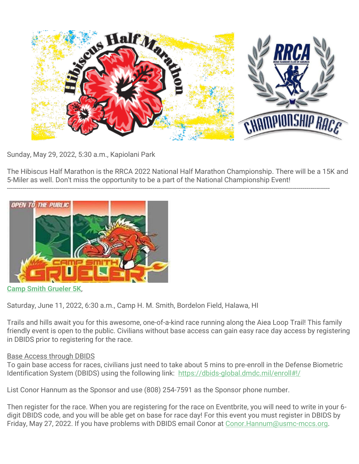

Sunday, May 29, 2022, 5:30 a.m., Kapiolani Park

The Hibiscus Half Marathon is the RRCA 2022 National Half Marathon Championship. There will be a 15K and 5-Miler as well. Don't miss the opportunity to be a part of the National Championship Event!

----------------------------------------------------------------------------------------------------------------------------------------------------------------------



**[Camp Smith Grueler 5K](https://www.eventbrite.com/e/2022-camp-smith-grueler-5k-tickets-308418807957)**,

Saturday, June 11, 2022, 6:30 a.m., Camp H. M. Smith, Bordelon Field, Halawa, HI

Trails and hills await you for this awesome, one-of-a-kind race running along the Aiea Loop Trail! This family friendly event is open to the public. Civilians without base access can gain easy race day access by registering in DBIDS prior to registering for the race.

#### Base Access through DBIDS

To gain base access for races, civilians just need to take about 5 mins to pre-enroll in the Defense Biometric Identification System (DBIDS) using the following link: <https://dbids-global.dmdc.mil/enroll#!/>

List Conor Hannum as the Sponsor and use (808) 254-7591 as the Sponsor phone number.

Then register for the race. When you are registering for the race on Eventbrite, you will need to write in your 6 digit DBIDS code, and you will be able get on base for race day! For this event you must register in DBIDS by Friday, May 27, 2022. If you have problems with DBIDS email Conor at Conor. Hannum@usmc-mccs.org.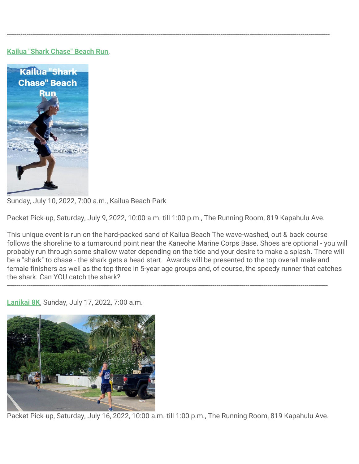#### **[Kailua "Shark Chase" Beach Run](https://runsignup.com/Race/HI/Kailua/KailuaBeach44MileRun)**,



Sunday, July 10, 2022, 7:00 a.m., Kailua Beach Park

Packet Pick-up, Saturday, July 9, 2022, 10:00 a.m. till 1:00 p.m., The Running Room, 819 Kapahulu Ave.

---------------------------------------------------------------------------------------------------------------------------------------------------------------------

----------------------------------------------------------------------------------------------------------------------------------------------------------------------

This unique event is run on the hard-packed sand of Kailua Beach The wave-washed, out & back course follows the shoreline to a turnaround point near the Kaneohe Marine Corps Base. Shoes are optional - you will probably run through some shallow water depending on the tide and your desire to make a splash. There will be a "shark" to chase - the shark gets a head start. Awards will be presented to the top overall male and female finishers as well as the top three in 5-year age groups and, of course, the speedy runner that catches the shark. Can YOU catch the shark?

**[Lanikai 8K](https://runsignup.com/Race/HI/Kailua/Lanikai8KRun)**, Sunday, July 17, 2022, 7:00 a.m.



Packet Pick-up, Saturday, July 16, 2022, 10:00 a.m. till 1:00 p.m., The Running Room, 819 Kapahulu Ave.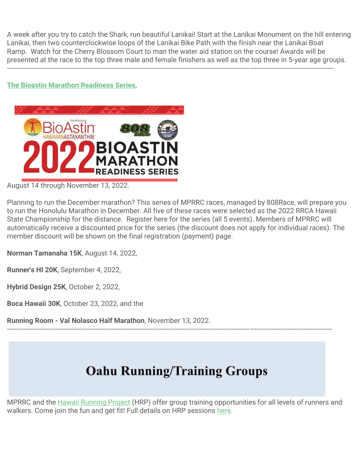A week after you try to catch the Shark, run beautiful Lanikai! Start at the Lanikai Monument on the hill entering Lanikai, then two counterclockwise loops of the Lanikai Bike Path with the finish near the Lanikai Boat Ramp. Watch for the Cherry Blossom Court to man the water aid station on the course! Awards will be presented at the race to the top three male and female finishers as well as the top three in 5-year age groups.

------------------------------------------------------------------------------------------------------------------------------------------------------------------------

#### **[The Bioastin Marathon Readiness Series](https://runsignup.com/Race/HI/Honolulu/BioastinMarathonReadinessSeries)**,



August 14 through November 13, 2022.

Planning to run the December marathon? This series of MPRRC races, managed by 808Race, will prepare you to run the Honolulu Marathon in December. All five of these races were selected as the 2022 RRCA Hawaii State Championship for the distance. Register here for the series (all 5 events). Members of MPRRC will automatically receive a discounted price for the series (the discount does not apply for individual races). The member discount will be shown on the final registration (payment) page.

**Norman Tamanaha 15K**, August 14, 2022,

**Runner's HI 20K**, September 4, 2022,

**Hybrid Design 25K**, October 2, 2022,

**Boca Hawaii 30K**, October 23, 2022, and the

**Running Room - Val Nolasco Half Marathon**, November 13, 2022.

## **Oahu Running/Training Groups**

-----------------------------------------------------------------------------------------------------------------------------------------------------------------------

MPRRC and the [Hawaii Running Project](https://hawaiirunningproject.wordpress.com/) (HRP) offer group training opportunities for all levels of runners and walkers. Come join the fun and get fit! Full details on HRP sessions [here.](https://hawaiirunningproject.wordpress.com/)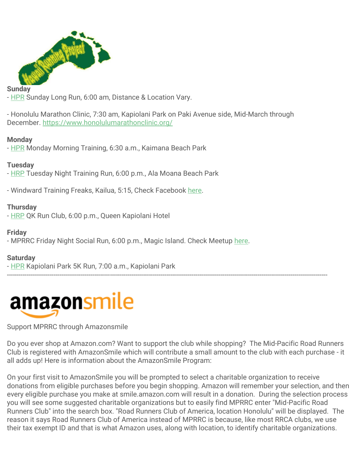

#### **Sunday**

- [HPR](https://hawaiirunningproject.wordpress.com/) Sunday Long Run, 6:00 am, Distance & Location Vary.

- Honolulu Marathon Clinic, 7:30 am, Kapiolani Park on Paki Avenue side, Mid-March through December. <https://www.honolulumarathonclinic.org/>

#### **Monday**

- [HPR](https://hawaiirunningproject.wordpress.com/) Monday Morning Training, 6:30 a.m., Kaimana Beach Park

#### **Tuesday**

- [HRP](https://hawaiirunningproject.wordpress.com/) Tuesday Night Training Run, 6:00 p.m., Ala Moana Beach Park

- Windward Training Freaks, Kailua, 5:15, Check Facebook [here.](https://www.facebook.com/groups/windwardtrainingfreaks)

#### **Thursday**

- [HRP](https://hawaiirunningproject.wordpress.com/) QK Run Club, 6:00 p.m., Queen Kapiolani Hotel

#### **Friday**

- MPRRC Friday Night Social Run, 6:00 p.m., Magic Island. Check Meetup [here.](https://www.meetup.com/Friday-Night-Fireworks-Run-presented-by-MPRRC/)

#### **Saturday**

- [HPR](https://hawaiirunningproject.wordpress.com/) Kapiolani Park 5K Run, 7:00 a.m., Kapiolani Park



#### Support MPRRC through Amazonsmile

Do you ever shop at Amazon.com? Want to support the club while shopping? The Mid-Pacific Road Runners Club is registered with AmazonSmile which will contribute a small amount to the club with each purchase - it all adds up! Here is information about the AmazonSmile Program:

---------------------------------------------------------------------------------------------------------------------------------------------------------------------

On your first visit to AmazonSmile you will be prompted to select a charitable organization to receive donations from eligible purchases before you begin shopping. Amazon will remember your selection, and then every eligible purchase you make at smile.amazon.com will result in a donation. During the selection process you will see some suggested charitable organizations but to easily find MPRRC enter "Mid-Pacific Road Runners Club" into the search box. "Road Runners Club of America, location Honolulu" will be displayed. The reason it says Road Runners Club of America instead of MPRRC is because, like most RRCA clubs, we use their tax exempt ID and that is what Amazon uses, along with location, to identify charitable organizations.